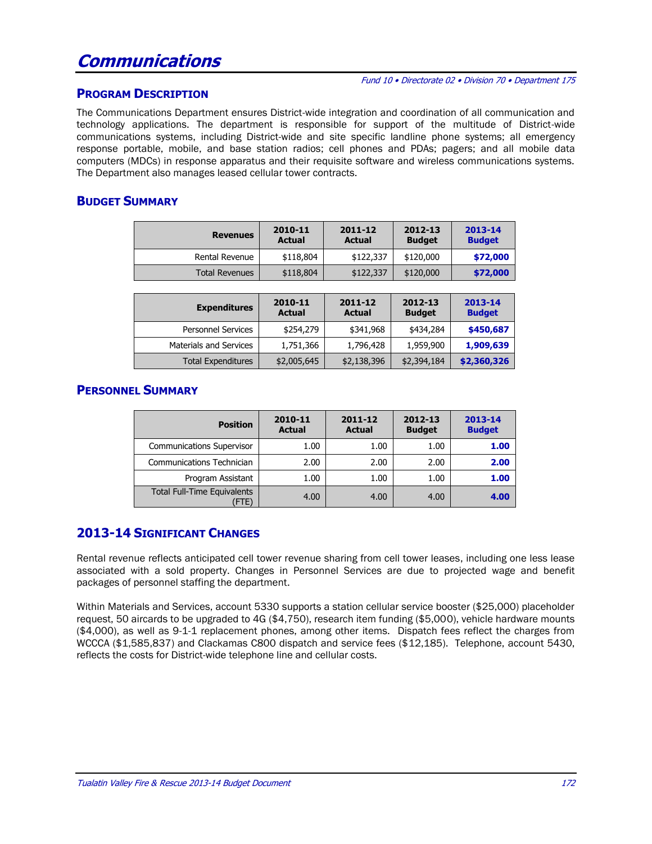# **Communications**

#### Fund 10 • Directorate 02 • Division 70 • Department 175

#### **PROGRAM DESCRIPTION**

The Communications Department ensures District-wide integration and coordination of all communication and technology applications. The department is responsible for support of the multitude of District-wide communications systems, including District-wide and site specific landline phone systems; all emergency response portable, mobile, and base station radios; cell phones and PDAs; pagers; and all mobile data computers (MDCs) in response apparatus and their requisite software and wireless communications systems. The Department also manages leased cellular tower contracts.

#### **BUDGET SUMMARY**

| <b>Revenues</b>       | 2010-11<br><b>Actual</b> | 2011-12<br><b>Actual</b> | 2012-13<br><b>Budget</b> | 2013-14<br><b>Budget</b> |
|-----------------------|--------------------------|--------------------------|--------------------------|--------------------------|
| Rental Revenue        | \$118,804                | \$122,337                | \$120,000                | \$72,000                 |
| <b>Total Revenues</b> | \$118,804                | \$122,337                | \$120,000                | \$72,000                 |

| <b>Expenditures</b>       | 2010-11<br><b>Actual</b> | $2011 - 12$<br><b>Actual</b> | 2012-13<br><b>Budget</b> | 2013-14<br><b>Budget</b> |
|---------------------------|--------------------------|------------------------------|--------------------------|--------------------------|
| <b>Personnel Services</b> | \$254,279                | \$341,968                    | \$434,284                | \$450,687                |
| Materials and Services    | 1,751,366                | 1,796,428                    | 1,959,900                | 1,909,639                |
| <b>Total Expenditures</b> | \$2,005,645              | \$2,138,396                  | \$2,394,184              | \$2,360,326              |

#### **PERSONNEL SUMMARY**

| <b>Position</b>                            | 2010-11<br><b>Actual</b> | 2011-12<br><b>Actual</b> | 2012-13<br><b>Budget</b> | 2013-14<br><b>Budget</b> |
|--------------------------------------------|--------------------------|--------------------------|--------------------------|--------------------------|
| <b>Communications Supervisor</b>           | 1.00                     | 1.00                     | 1.00                     | 1.00                     |
| Communications Technician                  | 2.00                     | 2.00                     | 2.00                     | 2.00                     |
| Program Assistant                          | 1.00                     | 1.00                     | 1.00                     | 1.00                     |
| <b>Total Full-Time Equivalents</b><br>FTE) | 4.00                     | 4.00                     | 4.00                     | 4.00                     |

### **2013-14 SIGNIFICANT CHANGES**

Rental revenue reflects anticipated cell tower revenue sharing from cell tower leases, including one less lease associated with a sold property. Changes in Personnel Services are due to projected wage and benefit packages of personnel staffing the department.

Within Materials and Services, account 5330 supports a station cellular service booster (\$25,000) placeholder request, 50 aircards to be upgraded to 4G (\$4,750), research item funding (\$5,000), vehicle hardware mounts (\$4,000), as well as 9-1-1 replacement phones, among other items. Dispatch fees reflect the charges from WCCCA (\$1,585,837) and Clackamas C800 dispatch and service fees (\$12,185). Telephone, account 5430, reflects the costs for District-wide telephone line and cellular costs.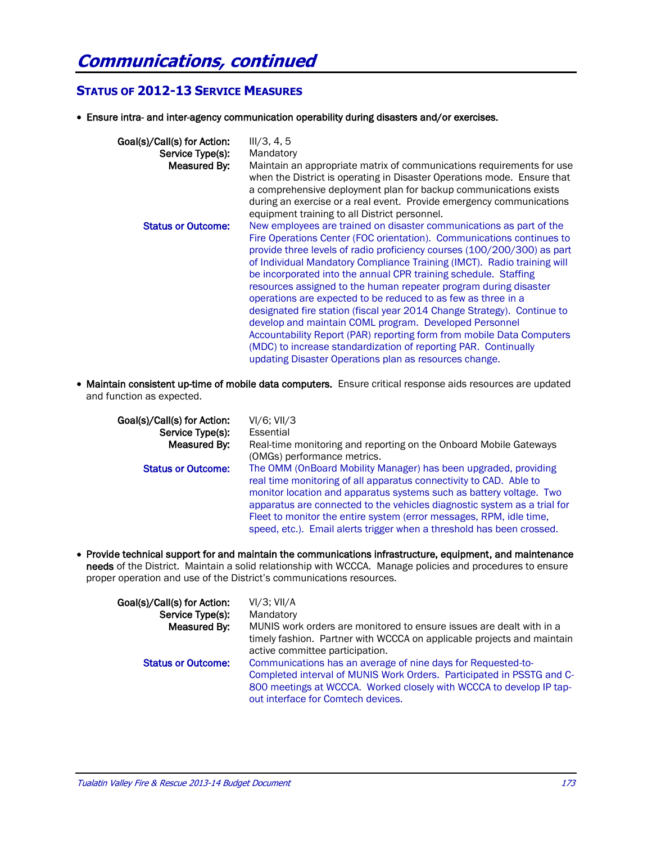## **STATUS OF 2012-13 SERVICE MEASURES**

Ensure intra- and inter-agency communication operability during disasters and/or exercises.

| Goal(s)/Call(s) for Action:<br>Service Type(s):<br>Measured By: | III/3, 4, 5<br>Mandatory<br>Maintain an appropriate matrix of communications requirements for use<br>when the District is operating in Disaster Operations mode. Ensure that<br>a comprehensive deployment plan for backup communications exists<br>during an exercise or a real event. Provide emergency communications<br>equipment training to all District personnel.                                                                                                                                                                                                                                                                                                                                                                                                                                                                             |
|-----------------------------------------------------------------|-------------------------------------------------------------------------------------------------------------------------------------------------------------------------------------------------------------------------------------------------------------------------------------------------------------------------------------------------------------------------------------------------------------------------------------------------------------------------------------------------------------------------------------------------------------------------------------------------------------------------------------------------------------------------------------------------------------------------------------------------------------------------------------------------------------------------------------------------------|
| <b>Status or Outcome:</b>                                       | New employees are trained on disaster communications as part of the<br>Fire Operations Center (FOC orientation). Communications continues to<br>provide three levels of radio proficiency courses (100/200/300) as part<br>of Individual Mandatory Compliance Training (IMCT). Radio training will<br>be incorporated into the annual CPR training schedule. Staffing<br>resources assigned to the human repeater program during disaster<br>operations are expected to be reduced to as few as three in a<br>designated fire station (fiscal year 2014 Change Strategy). Continue to<br>develop and maintain COML program. Developed Personnel<br>Accountability Report (PAR) reporting form from mobile Data Computers<br>(MDC) to increase standardization of reporting PAR. Continually<br>updating Disaster Operations plan as resources change. |

 Maintain consistent up-time of mobile data computers. Ensure critical response aids resources are updated and function as expected.

| Goal(s)/Call(s) for Action:<br>Service Type(s):<br>Measured By: | $VI/6$ ; $VII/3$<br>Essential<br>Real-time monitoring and reporting on the Onboard Mobile Gateways                                                                                                                                                                                                                      |
|-----------------------------------------------------------------|-------------------------------------------------------------------------------------------------------------------------------------------------------------------------------------------------------------------------------------------------------------------------------------------------------------------------|
| <b>Status or Outcome:</b>                                       | (OMGs) performance metrics.<br>The OMM (OnBoard Mobility Manager) has been upgraded, providing<br>real time monitoring of all apparatus connectivity to CAD. Able to<br>monitor location and apparatus systems such as battery voltage. Two<br>apparatus are connected to the vehicles diagnostic system as a trial for |
|                                                                 | Fleet to monitor the entire system (error messages, RPM, idle time,<br>speed, etc.). Email alerts trigger when a threshold has been crossed.                                                                                                                                                                            |

 Provide technical support for and maintain the communications infrastructure, equipment, and maintenance needs of the District. Maintain a solid relationship with WCCCA. Manage policies and procedures to ensure proper operation and use of the District's communications resources.

| Goal(s)/Call(s) for Action:<br>Service Type(s):<br>Measured By: | $VI/3$ ; $VII/A$<br>Mandatory<br>MUNIS work orders are monitored to ensure issues are dealt with in a<br>timely fashion. Partner with WCCCA on applicable projects and maintain                                                                                                       |
|-----------------------------------------------------------------|---------------------------------------------------------------------------------------------------------------------------------------------------------------------------------------------------------------------------------------------------------------------------------------|
| <b>Status or Outcome:</b>                                       | active committee participation.<br>Communications has an average of nine days for Requested-to-<br>Completed interval of MUNIS Work Orders. Participated in PSSTG and C-<br>800 meetings at WCCCA. Worked closely with WCCCA to develop IP tap-<br>out interface for Comtech devices. |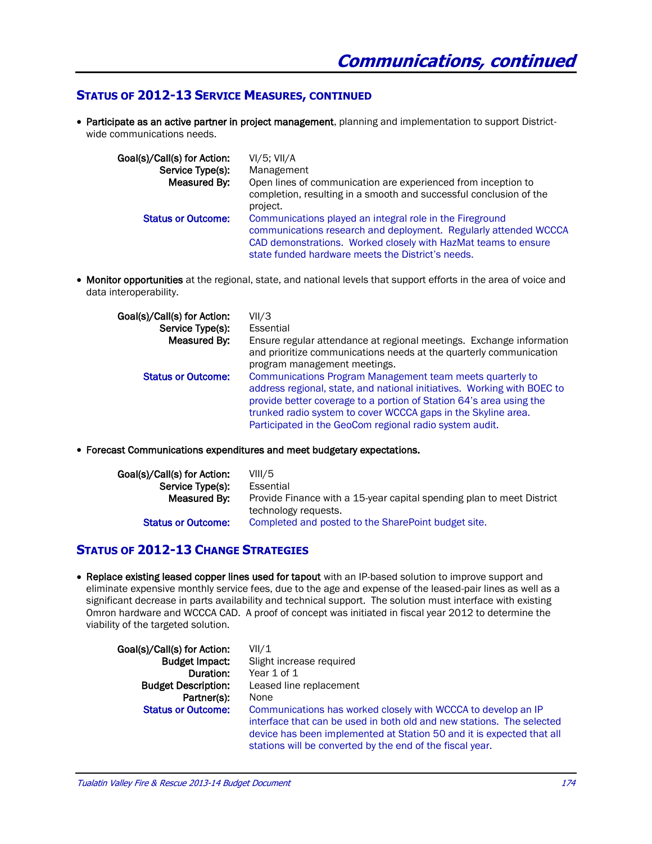#### **STATUS OF 2012-13 SERVICE MEASURES, CONTINUED**

 Participate as an active partner in project management, planning and implementation to support Districtwide communications needs.

| Goal(s)/Call(s) for Action: | $VI/5$ ; $VII/A$                                                                                                             |
|-----------------------------|------------------------------------------------------------------------------------------------------------------------------|
| Service Type(s):            | Management                                                                                                                   |
| Measured By:                | Open lines of communication are experienced from inception to                                                                |
|                             | completion, resulting in a smooth and successful conclusion of the<br>project.                                               |
| <b>Status or Outcome:</b>   | Communications played an integral role in the Fireground<br>communications research and deployment. Regularly attended WCCCA |
|                             | CAD demonstrations. Worked closely with HazMat teams to ensure<br>state funded hardware meets the District's needs.          |

 Monitor opportunities at the regional, state, and national levels that support efforts in the area of voice and data interoperability.

| Goal(s)/Call(s) for Action:<br>Service Type(s): | VII/3<br>Essential<br>Ensure regular attendance at regional meetings. Exchange information                                                                                                                                                                                                                                              |
|-------------------------------------------------|-----------------------------------------------------------------------------------------------------------------------------------------------------------------------------------------------------------------------------------------------------------------------------------------------------------------------------------------|
| Measured By:                                    | and prioritize communications needs at the quarterly communication<br>program management meetings.                                                                                                                                                                                                                                      |
| <b>Status or Outcome:</b>                       | Communications Program Management team meets quarterly to<br>address regional, state, and national initiatives. Working with BOEC to<br>provide better coverage to a portion of Station 64's area using the<br>trunked radio system to cover WCCCA gaps in the Skyline area.<br>Participated in the GeoCom regional radio system audit. |

Forecast Communications expenditures and meet budgetary expectations.

| Goal(s)/Call(s) for Action: | VIII/5                                                                |
|-----------------------------|-----------------------------------------------------------------------|
| Service Type(s):            | Essential                                                             |
| Measured By:                | Provide Finance with a 15-year capital spending plan to meet District |
|                             | technology requests.                                                  |
| <b>Status or Outcome:</b>   | Completed and posted to the SharePoint budget site.                   |

#### **STATUS OF 2012-13 CHANGE STRATEGIES**

• Replace existing leased copper lines used for tapout with an IP-based solution to improve support and eliminate expensive monthly service fees, due to the age and expense of the leased-pair lines as well as a significant decrease in parts availability and technical support. The solution must interface with existing Omron hardware and WCCCA CAD. A proof of concept was initiated in fiscal year 2012 to determine the viability of the targeted solution.

| Goal(s)/Call(s) for Action: | VII/1                                                                 |
|-----------------------------|-----------------------------------------------------------------------|
| <b>Budget Impact:</b>       | Slight increase required                                              |
| Duration:                   | Year 1 of 1                                                           |
| <b>Budget Description:</b>  | Leased line replacement                                               |
| Partner(s):                 | None                                                                  |
| <b>Status or Outcome:</b>   | Communications has worked closely with WCCCA to develop an IP         |
|                             | interface that can be used in both old and new stations. The selected |
|                             | device has been implemented at Station 50 and it is expected that all |
|                             | stations will be converted by the end of the fiscal year.             |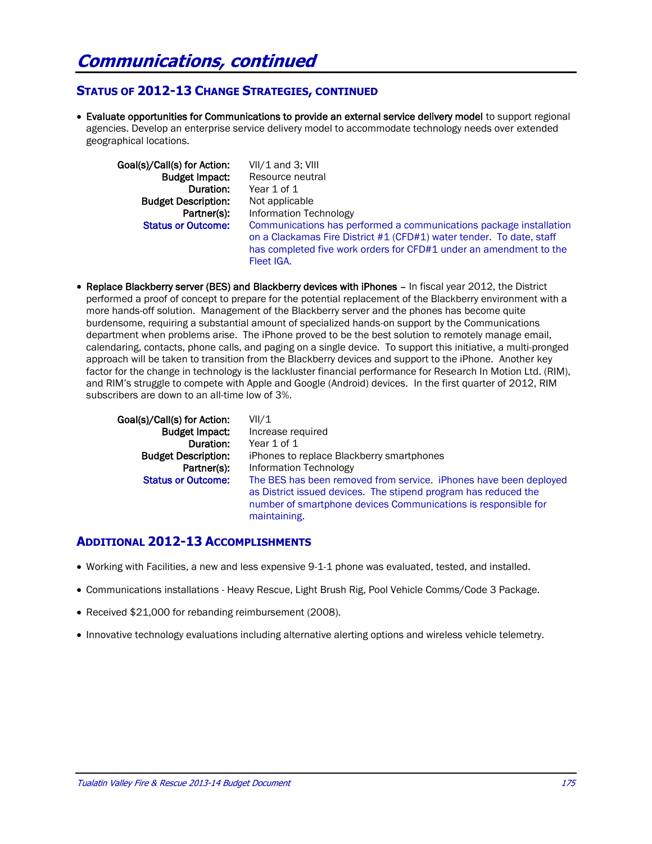#### **STATUS OF 2012-13 CHANGE STRATEGIES, CONTINUED**

 Evaluate opportunities for Communications to provide an external service delivery model to support regional agencies. Develop an enterprise service delivery model to accommodate technology needs over extended geographical locations.

| Goal(s)/Call(s) for Action: | $VII/1$ and 3; VIII                                                                                                                                                                                                            |
|-----------------------------|--------------------------------------------------------------------------------------------------------------------------------------------------------------------------------------------------------------------------------|
| <b>Budget Impact:</b>       | Resource neutral                                                                                                                                                                                                               |
| Duration:                   | Year 1 of 1                                                                                                                                                                                                                    |
| <b>Budget Description:</b>  | Not applicable                                                                                                                                                                                                                 |
| Partner(s):                 | Information Technology                                                                                                                                                                                                         |
| <b>Status or Outcome:</b>   | Communications has performed a communications package installation<br>on a Clackamas Fire District #1 (CFD#1) water tender. To date, staff<br>has completed five work orders for CFD#1 under an amendment to the<br>Fleet IGA. |

• Replace Blackberry server (BES) and Blackberry devices with iPhones - In fiscal year 2012, the District performed a proof of concept to prepare for the potential replacement of the Blackberry environment with a more hands-off solution. Management of the Blackberry server and the phones has become quite burdensome, requiring a substantial amount of specialized hands-on support by the Communications department when problems arise. The iPhone proved to be the best solution to remotely manage email, calendaring, contacts, phone calls, and paging on a single device. To support this initiative, a multi-pronged approach will be taken to transition from the Blackberry devices and support to the iPhone. Another key factor for the change in technology is the lackluster financial performance for Research In Motion Ltd. (RIM), and RIM's struggle to compete with Apple and Google (Android) devices. In the first quarter of 2012, RIM subscribers are down to an all-time low of 3%.

| VII/1<br>Increase required<br>Year 1 of 1<br>iPhones to replace Blackberry smartphones<br>Information Technology<br>The BES has been removed from service. <i>iPhones have been deployed</i><br>as District issued devices. The stipend program has reduced the<br>number of smartphone devices Communications is responsible for |
|-----------------------------------------------------------------------------------------------------------------------------------------------------------------------------------------------------------------------------------------------------------------------------------------------------------------------------------|
| maintaining.                                                                                                                                                                                                                                                                                                                      |
|                                                                                                                                                                                                                                                                                                                                   |

#### **ADDITIONAL 2012-13 ACCOMPLISHMENTS**

- Working with Facilities, a new and less expensive 9-1-1 phone was evaluated, tested, and installed.
- Communications installations Heavy Rescue, Light Brush Rig, Pool Vehicle Comms/Code 3 Package.
- Received \$21,000 for rebanding reimbursement (2008).
- Innovative technology evaluations including alternative alerting options and wireless vehicle telemetry.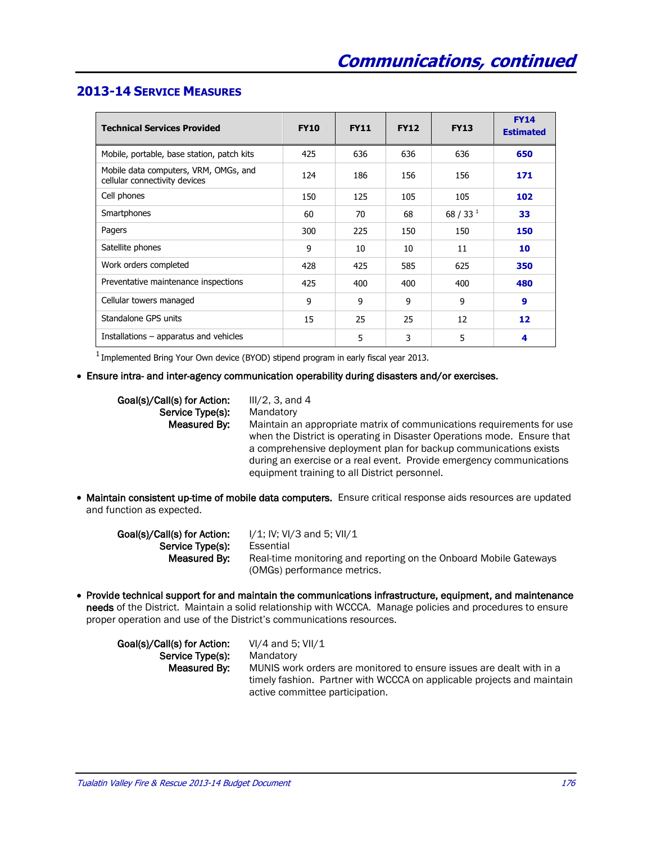#### **2013-14 SERVICE MEASURES**

| <b>Technical Services Provided</b>                                     | <b>FY10</b> | <b>FY11</b> | <b>FY12</b> | <b>FY13</b> | <b>FY14</b><br><b>Estimated</b> |
|------------------------------------------------------------------------|-------------|-------------|-------------|-------------|---------------------------------|
| Mobile, portable, base station, patch kits                             | 425         | 636         | 636         | 636         | 650                             |
| Mobile data computers, VRM, OMGs, and<br>cellular connectivity devices | 124         | 186         | 156         | 156         | 171                             |
| Cell phones                                                            | 150         | 125         | 105         | 105         | 102                             |
| Smartphones                                                            | 60          | 70          | 68          | 68 / 33 $1$ | 33                              |
| Pagers                                                                 | 300         | 225         | 150         | 150         | 150                             |
| Satellite phones                                                       | 9           | 10          | 10          | 11          | 10                              |
| Work orders completed                                                  | 428         | 425         | 585         | 625         | 350                             |
| Preventative maintenance inspections                                   | 425         | 400         | 400         | 400         | 480                             |
| Cellular towers managed                                                | 9           | 9           | 9           | 9           | 9                               |
| Standalone GPS units                                                   | 15          | 25          | 25          | 12          | 12                              |
| Installations – apparatus and vehicles                                 |             | 5           | 3           | 5           | 4                               |

 $^1$  Implemented Bring Your Own device (BYOD) stipend program in early fiscal year 2013.

#### Ensure intra- and inter-agency communication operability during disasters and/or exercises.

| Goal(s)/Call(s) for Action: | $III/2$ , 3, and 4                                                                                                                                                                                                                                                                                                                            |
|-----------------------------|-----------------------------------------------------------------------------------------------------------------------------------------------------------------------------------------------------------------------------------------------------------------------------------------------------------------------------------------------|
| Service Type(s):            | Mandatory                                                                                                                                                                                                                                                                                                                                     |
| Measured By:                | Maintain an appropriate matrix of communications requirements for use<br>when the District is operating in Disaster Operations mode. Ensure that<br>a comprehensive deployment plan for backup communications exists<br>during an exercise or a real event. Provide emergency communications<br>equipment training to all District personnel. |

 Maintain consistent up-time of mobile data computers. Ensure critical response aids resources are updated and function as expected.

| Goal(s)/Call(s) for Action: | $1/1$ ; IV; VI/3 and 5; VII/1                                     |
|-----------------------------|-------------------------------------------------------------------|
| Service Type(s):            | Essential                                                         |
| Measured By:                | Real-time monitoring and reporting on the Onboard Mobile Gateways |
|                             | (OMGs) performance metrics.                                       |

 Provide technical support for and maintain the communications infrastructure, equipment, and maintenance needs of the District. Maintain a solid relationship with WCCCA. Manage policies and procedures to ensure proper operation and use of the District's communications resources.

| Goal(s)/Call(s) for Action: | VI/4 and 5; VII/1                                                      |
|-----------------------------|------------------------------------------------------------------------|
| Service Type(s):            | Mandatory                                                              |
| Measured By:                | MUNIS work orders are monitored to ensure issues are dealt with in a   |
|                             | timely fashion. Partner with WCCCA on applicable projects and maintain |
|                             | active committee participation.                                        |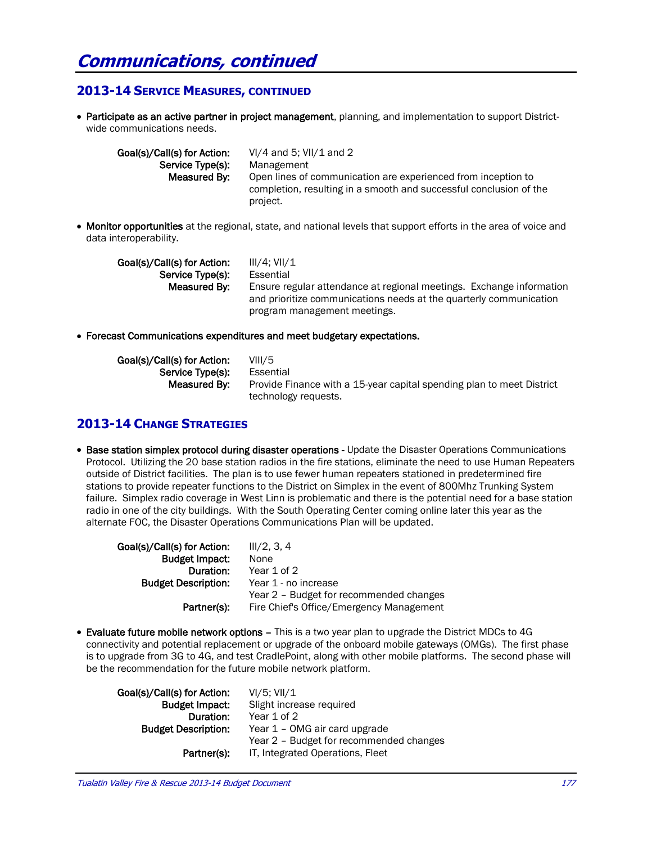### **2013-14 SERVICE MEASURES, CONTINUED**

• Participate as an active partner in project management, planning, and implementation to support Districtwide communications needs.

| Goal(s)/Call(s) for Action: | VI/4 and 5; VII/1 and 2                                            |
|-----------------------------|--------------------------------------------------------------------|
| Service Type(s):            | Management                                                         |
| Measured By:                | Open lines of communication are experienced from inception to      |
|                             | completion, resulting in a smooth and successful conclusion of the |
|                             | project.                                                           |

• Monitor opportunities at the regional, state, and national levels that support efforts in the area of voice and data interoperability.

| Goal(s)/Call(s) for Action: | III/4: VII/1                                                         |  |  |  |
|-----------------------------|----------------------------------------------------------------------|--|--|--|
| Service Type(s):            | Essential                                                            |  |  |  |
| Measured By:                | Ensure regular attendance at regional meetings. Exchange information |  |  |  |
|                             | and prioritize communications needs at the quarterly communication   |  |  |  |
|                             | program management meetings.                                         |  |  |  |

Forecast Communications expenditures and meet budgetary expectations.

| Goal(s)/Call(s) for Action: | VIII/5                                                                |
|-----------------------------|-----------------------------------------------------------------------|
| Service Type(s):            | Essential                                                             |
| Measured By:                | Provide Finance with a 15-year capital spending plan to meet District |
|                             | technology requests.                                                  |

### **2013-14 CHANGE STRATEGIES**

• Base station simplex protocol during disaster operations - Update the Disaster Operations Communications Protocol. Utilizing the 20 base station radios in the fire stations, eliminate the need to use Human Repeaters outside of District facilities. The plan is to use fewer human repeaters stationed in predetermined fire stations to provide repeater functions to the District on Simplex in the event of 800Mhz Trunking System failure. Simplex radio coverage in West Linn is problematic and there is the potential need for a base station radio in one of the city buildings. With the South Operating Center coming online later this year as the alternate FOC, the Disaster Operations Communications Plan will be updated.

| Goal(s)/Call(s) for Action: | III/2, 3, 4                              |
|-----------------------------|------------------------------------------|
| <b>Budget Impact:</b>       | None                                     |
| Duration:                   | Year 1 of 2                              |
| <b>Budget Description:</b>  | Year 1 - no increase                     |
|                             | Year 2 - Budget for recommended changes  |
| Partner(s):                 | Fire Chief's Office/Emergency Management |
|                             |                                          |

 Evaluate future mobile network options – This is a two year plan to upgrade the District MDCs to 4G connectivity and potential replacement or upgrade of the onboard mobile gateways (OMGs). The first phase is to upgrade from 3G to 4G, and test CradlePoint, along with other mobile platforms. The second phase will be the recommendation for the future mobile network platform.

| Goal(s)/Call(s) for Action: | VI/5: VII/1                             |
|-----------------------------|-----------------------------------------|
| <b>Budget Impact:</b>       | Slight increase required                |
| Duration:                   | Year 1 of 2                             |
| <b>Budget Description:</b>  | Year 1 – OMG air card upgrade           |
|                             | Year 2 - Budget for recommended changes |
| Partner(s):                 | IT, Integrated Operations, Fleet        |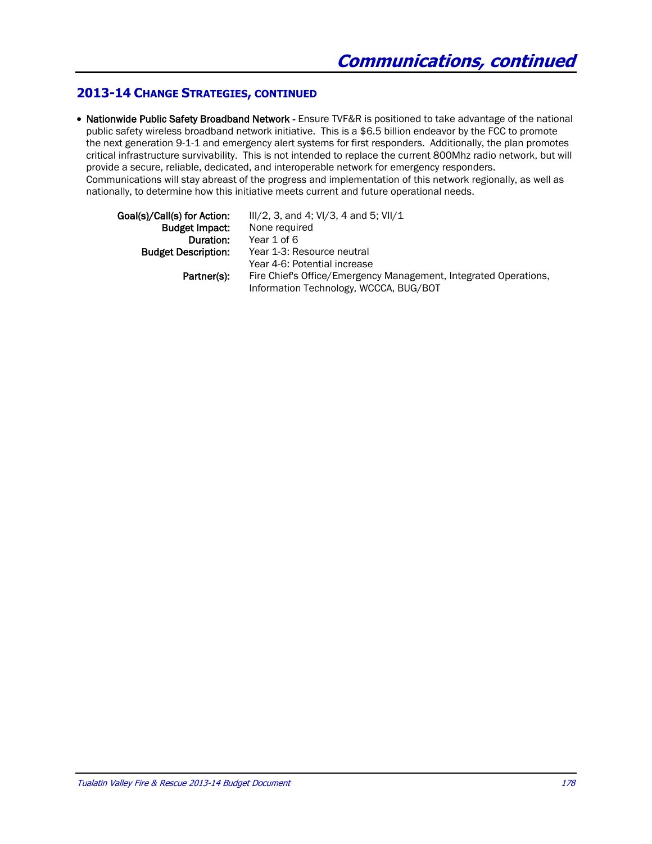#### **2013-14 CHANGE STRATEGIES, CONTINUED**

• Nationwide Public Safety Broadband Network - Ensure TVF&R is positioned to take advantage of the national public safety wireless broadband network initiative. This is a \$6.5 billion endeavor by the FCC to promote the next generation 9-1-1 and emergency alert systems for first responders. Additionally, the plan promotes critical infrastructure survivability. This is not intended to replace the current 800Mhz radio network, but will provide a secure, reliable, dedicated, and interoperable network for emergency responders. Communications will stay abreast of the progress and implementation of this network regionally, as well as nationally, to determine how this initiative meets current and future operational needs.

| $III/2$ , 3, and 4; VI/3, 4 and 5; VII/1                         |
|------------------------------------------------------------------|
| None required                                                    |
| Year 1 of 6                                                      |
| Year 1-3: Resource neutral                                       |
| Year 4-6: Potential increase                                     |
| Fire Chief's Office/Emergency Management, Integrated Operations, |
| Information Technology, WCCCA, BUG/BOT                           |
|                                                                  |